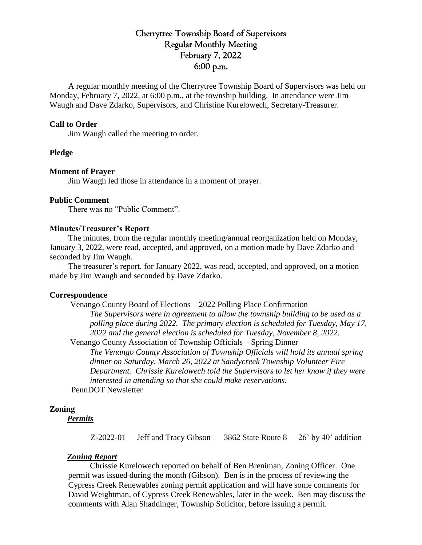# Cherrytree Township Board of Supervisors Regular Monthly Meeting February 7, 2022 6:00 p.m.

A regular monthly meeting of the Cherrytree Township Board of Supervisors was held on Monday, February 7, 2022, at 6:00 p.m., at the township building. In attendance were Jim Waugh and Dave Zdarko, Supervisors, and Christine Kurelowech, Secretary-Treasurer.

## **Call to Order**

Jim Waugh called the meeting to order.

## **Pledge**

### **Moment of Prayer**

Jim Waugh led those in attendance in a moment of prayer.

#### **Public Comment**

There was no "Public Comment".

#### **Minutes/Treasurer's Report**

The minutes, from the regular monthly meeting/annual reorganization held on Monday, January 3, 2022, were read, accepted, and approved, on a motion made by Dave Zdarko and seconded by Jim Waugh.

The treasurer's report, for January 2022, was read, accepted, and approved, on a motion made by Jim Waugh and seconded by Dave Zdarko.

#### **Correspondence**

Venango County Board of Elections – 2022 Polling Place Confirmation *The Supervisors were in agreement to allow the township building to be used as a polling place during 2022. The primary election is scheduled for Tuesday, May 17, 2022 and the general election is scheduled for Tuesday, November 8, 2022.* Venango County Association of Township Officials – Spring Dinner

*The Venango County Association of Township Officials will hold its annual spring dinner on Saturday, March 26, 2022 at Sandycreek Township Volunteer Fire Department. Chrissie Kurelowech told the Supervisors to let her know if they were interested in attending so that she could make reservations.*

PennDOT Newsletter

## **Zoning**

*Permits*

Z-2022-01 Jeff and Tracy Gibson 3862 State Route 8 26' by 40' addition

#### *Zoning Report*

Chrissie Kurelowech reported on behalf of Ben Breniman, Zoning Officer. One permit was issued during the month (Gibson). Ben is in the process of reviewing the Cypress Creek Renewables zoning permit application and will have some comments for David Weightman, of Cypress Creek Renewables, later in the week. Ben may discuss the comments with Alan Shaddinger, Township Solicitor, before issuing a permit.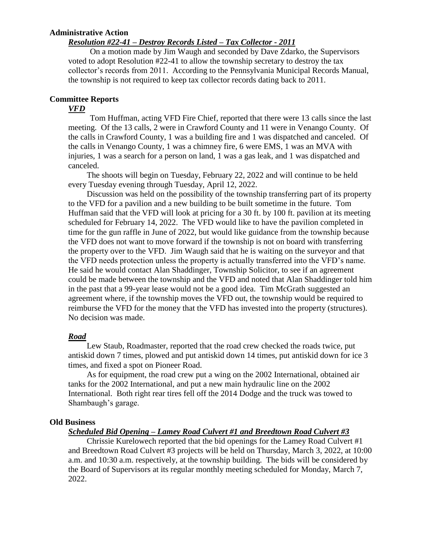## **Administrative Action**

## *Resolution #22-41 – Destroy Records Listed – Tax Collector - 2011*

On a motion made by Jim Waugh and seconded by Dave Zdarko, the Supervisors voted to adopt Resolution #22-41 to allow the township secretary to destroy the tax collector's records from 2011. According to the Pennsylvania Municipal Records Manual, the township is not required to keep tax collector records dating back to 2011.

# **Committee Reports**

### *VFD*

Tom Huffman, acting VFD Fire Chief, reported that there were 13 calls since the last meeting. Of the 13 calls, 2 were in Crawford County and 11 were in Venango County. Of the calls in Crawford County, 1 was a building fire and 1 was dispatched and canceled. Of the calls in Venango County, 1 was a chimney fire, 6 were EMS, 1 was an MVA with injuries, 1 was a search for a person on land, 1 was a gas leak, and 1 was dispatched and canceled.

The shoots will begin on Tuesday, February 22, 2022 and will continue to be held every Tuesday evening through Tuesday, April 12, 2022.

Discussion was held on the possibility of the township transferring part of its property to the VFD for a pavilion and a new building to be built sometime in the future. Tom Huffman said that the VFD will look at pricing for a 30 ft. by 100 ft. pavilion at its meeting scheduled for February 14, 2022. The VFD would like to have the pavilion completed in time for the gun raffle in June of 2022, but would like guidance from the township because the VFD does not want to move forward if the township is not on board with transferring the property over to the VFD. Jim Waugh said that he is waiting on the surveyor and that the VFD needs protection unless the property is actually transferred into the VFD's name. He said he would contact Alan Shaddinger, Township Solicitor, to see if an agreement could be made between the township and the VFD and noted that Alan Shaddinger told him in the past that a 99-year lease would not be a good idea. Tim McGrath suggested an agreement where, if the township moves the VFD out, the township would be required to reimburse the VFD for the money that the VFD has invested into the property (structures). No decision was made.

#### *Road*

Lew Staub, Roadmaster, reported that the road crew checked the roads twice, put antiskid down 7 times, plowed and put antiskid down 14 times, put antiskid down for ice 3 times, and fixed a spot on Pioneer Road.

As for equipment, the road crew put a wing on the 2002 International, obtained air tanks for the 2002 International, and put a new main hydraulic line on the 2002 International. Both right rear tires fell off the 2014 Dodge and the truck was towed to Shambaugh's garage.

#### **Old Business**

## *Scheduled Bid Opening – Lamey Road Culvert #1 and Breedtown Road Culvert #3*

Chrissie Kurelowech reported that the bid openings for the Lamey Road Culvert #1 and Breedtown Road Culvert #3 projects will be held on Thursday, March 3, 2022, at 10:00 a.m. and 10:30 a.m. respectively, at the township building. The bids will be considered by the Board of Supervisors at its regular monthly meeting scheduled for Monday, March 7, 2022.